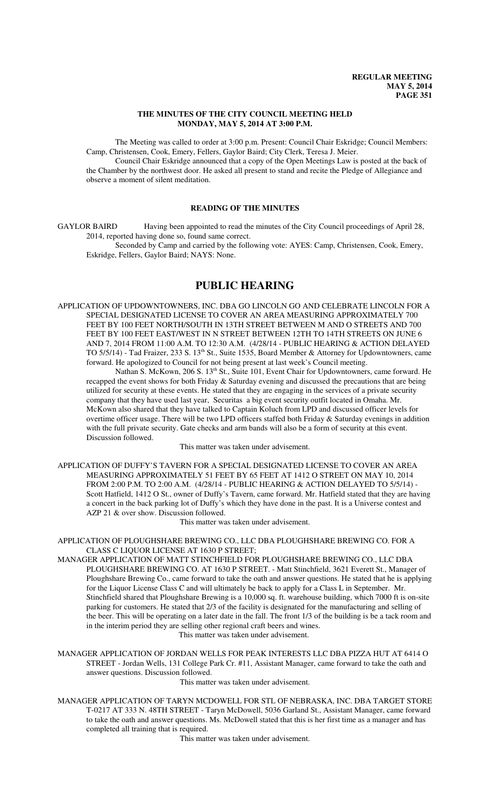### **THE MINUTES OF THE CITY COUNCIL MEETING HELD MONDAY, MAY 5, 2014 AT 3:00 P.M.**

The Meeting was called to order at 3:00 p.m. Present: Council Chair Eskridge; Council Members: Camp, Christensen, Cook, Emery, Fellers, Gaylor Baird; City Clerk, Teresa J. Meier.

Council Chair Eskridge announced that a copy of the Open Meetings Law is posted at the back of the Chamber by the northwest door. He asked all present to stand and recite the Pledge of Allegiance and observe a moment of silent meditation.

## **READING OF THE MINUTES**

GAYLOR BAIRD Having been appointed to read the minutes of the City Council proceedings of April 28, 2014, reported having done so, found same correct.

Seconded by Camp and carried by the following vote: AYES: Camp, Christensen, Cook, Emery, Eskridge, Fellers, Gaylor Baird; NAYS: None.

# **PUBLIC HEARING**

APPLICATION OF UPDOWNTOWNERS, INC. DBA GO LINCOLN GO AND CELEBRATE LINCOLN FOR A SPECIAL DESIGNATED LICENSE TO COVER AN AREA MEASURING APPROXIMATELY 700 FEET BY 100 FEET NORTH/SOUTH IN 13TH STREET BETWEEN M AND O STREETS AND 700 FEET BY 100 FEET EAST/WEST IN N STREET BETWEEN 12TH TO 14TH STREETS ON JUNE 6 AND 7, 2014 FROM 11:00 A.M. TO 12:30 A.M. (4/28/14 - PUBLIC HEARING & ACTION DELAYED TO 5/5/14) - Tad Fraizer, 233 S. 13<sup>th</sup> St., Suite 1535, Board Member & Attorney for Updowntowners, came forward. He apologized to Council for not being present at last week's Council meeting.

Nathan S. McKown, 206 S. 13<sup>th</sup> St., Suite 101, Event Chair for Updowntowners, came forward. He recapped the event shows for both Friday & Saturday evening and discussed the precautions that are being utilized for security at these events. He stated that they are engaging in the services of a private security company that they have used last year, Securitas a big event security outfit located in Omaha. Mr. McKown also shared that they have talked to Captain Koluch from LPD and discussed officer levels for overtime officer usage. There will be two LPD officers staffed both Friday & Saturday evenings in addition with the full private security. Gate checks and arm bands will also be a form of security at this event. Discussion followed.

This matter was taken under advisement.

APPLICATION OF DUFFY'S TAVERN FOR A SPECIAL DESIGNATED LICENSE TO COVER AN AREA MEASURING APPROXIMATELY 51 FEET BY 65 FEET AT 1412 O STREET ON MAY 10, 2014 FROM 2:00 P.M. TO 2:00 A.M. (4/28/14 - PUBLIC HEARING & ACTION DELAYED TO 5/5/14) - Scott Hatfield, 1412 O St., owner of Duffy's Tavern, came forward. Mr. Hatfield stated that they are having a concert in the back parking lot of Duffy's which they have done in the past. It is a Universe contest and AZP 21 & over show. Discussion followed.

This matter was taken under advisement.

APPLICATION OF PLOUGHSHARE BREWING CO., LLC DBA PLOUGHSHARE BREWING CO. FOR A CLASS C LIQUOR LICENSE AT 1630 P STREET;

- MANAGER APPLICATION OF MATT STINCHFIELD FOR PLOUGHSHARE BREWING CO., LLC DBA PLOUGHSHARE BREWING CO. AT 1630 P STREET. - Matt Stinchfield, 3621 Everett St., Manager of Ploughshare Brewing Co., came forward to take the oath and answer questions. He stated that he is applying for the Liquor License Class C and will ultimately be back to apply for a Class L in September. Mr. Stinchfield shared that Ploughshare Brewing is a 10,000 sq. ft. warehouse building, which 7000 ft is on-site parking for customers. He stated that 2/3 of the facility is designated for the manufacturing and selling of the beer. This will be operating on a later date in the fall. The front 1/3 of the building is be a tack room and in the interim period they are selling other regional craft beers and wines. This matter was taken under advisement.
- MANAGER APPLICATION OF JORDAN WELLS FOR PEAK INTERESTS LLC DBA PIZZA HUT AT 6414 O STREET - Jordan Wells, 131 College Park Cr. #11, Assistant Manager, came forward to take the oath and answer questions. Discussion followed.

This matter was taken under advisement.

MANAGER APPLICATION OF TARYN MCDOWELL FOR STL OF NEBRASKA, INC. DBA TARGET STORE T-0217 AT 333 N. 48TH STREET - Taryn McDowell, 5036 Garland St., Assistant Manager, came forward to take the oath and answer questions. Ms. McDowell stated that this is her first time as a manager and has completed all training that is required.

This matter was taken under advisement.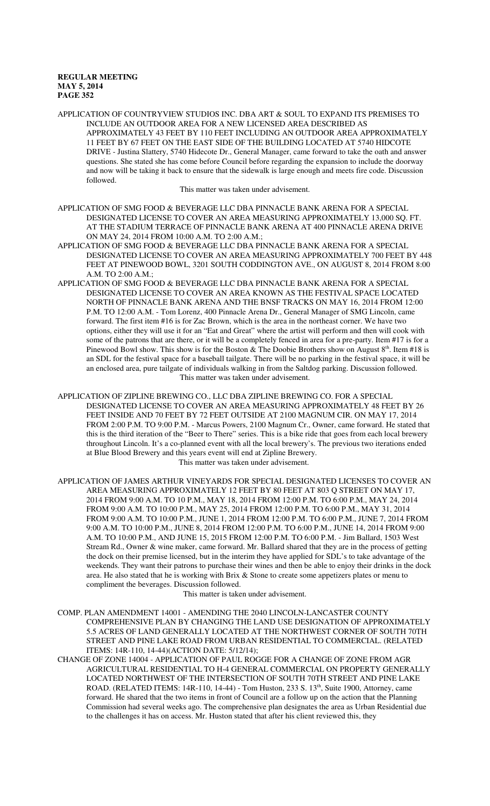APPLICATION OF COUNTRYVIEW STUDIOS INC. DBA ART & SOUL TO EXPAND ITS PREMISES TO INCLUDE AN OUTDOOR AREA FOR A NEW LICENSED AREA DESCRIBED AS APPROXIMATELY 43 FEET BY 110 FEET INCLUDING AN OUTDOOR AREA APPROXIMATELY 11 FEET BY 67 FEET ON THE EAST SIDE OF THE BUILDING LOCATED AT 5740 HIDCOTE DRIVE - Justina Slattery, 5740 Hidecote Dr., General Manager, came forward to take the oath and answer questions. She stated she has come before Council before regarding the expansion to include the doorway and now will be taking it back to ensure that the sidewalk is large enough and meets fire code. Discussion followed.

This matter was taken under advisement.

- APPLICATION OF SMG FOOD & BEVERAGE LLC DBA PINNACLE BANK ARENA FOR A SPECIAL DESIGNATED LICENSE TO COVER AN AREA MEASURING APPROXIMATELY 13,000 SQ. FT. AT THE STADIUM TERRACE OF PINNACLE BANK ARENA AT 400 PINNACLE ARENA DRIVE ON MAY 24, 2014 FROM 10:00 A.M. TO 2:00 A.M.;
- APPLICATION OF SMG FOOD & BEVERAGE LLC DBA PINNACLE BANK ARENA FOR A SPECIAL DESIGNATED LICENSE TO COVER AN AREA MEASURING APPROXIMATELY 700 FEET BY 448 FEET AT PINEWOOD BOWL, 3201 SOUTH CODDINGTON AVE., ON AUGUST 8, 2014 FROM 8:00 A.M. TO 2:00 A.M.;
- APPLICATION OF SMG FOOD & BEVERAGE LLC DBA PINNACLE BANK ARENA FOR A SPECIAL DESIGNATED LICENSE TO COVER AN AREA KNOWN AS THE FESTIVAL SPACE LOCATED NORTH OF PINNACLE BANK ARENA AND THE BNSF TRACKS ON MAY 16, 2014 FROM 12:00 P.M. TO 12:00 A.M. - Tom Lorenz, 400 Pinnacle Arena Dr., General Manager of SMG Lincoln, came forward. The first item #16 is for Zac Brown, which is the area in the northeast corner. We have two options, either they will use it for an "Eat and Great" where the artist will perform and then will cook with some of the patrons that are there, or it will be a completely fenced in area for a pre-party. Item #17 is for a Pinewood Bowl show. This show is for the Boston & The Doobie Brothers show on August  $8<sup>th</sup>$ . Item #18 is an SDL for the festival space for a baseball tailgate. There will be no parking in the festival space, it will be an enclosed area, pure tailgate of individuals walking in from the Saltdog parking. Discussion followed. This matter was taken under advisement.
- APPLICATION OF ZIPLINE BREWING CO., LLC DBA ZIPLINE BREWING CO. FOR A SPECIAL DESIGNATED LICENSE TO COVER AN AREA MEASURING APPROXIMATELY 48 FEET BY 26 FEET INSIDE AND 70 FEET BY 72 FEET OUTSIDE AT 2100 MAGNUM CIR. ON MAY 17, 2014 FROM 2:00 P.M. TO 9:00 P.M. - Marcus Powers, 2100 Magnum Cr., Owner, came forward. He stated that this is the third iteration of the "Beer to There" series. This is a bike ride that goes from each local brewery throughout Lincoln. It's a co-planned event with all the local brewery's. The previous two iterations ended at Blue Blood Brewery and this years event will end at Zipline Brewery. This matter was taken under advisement.
- APPLICATION OF JAMES ARTHUR VINEYARDS FOR SPECIAL DESIGNATED LICENSES TO COVER AN AREA MEASURING APPROXIMATELY 12 FEET BY 80 FEET AT 803 Q STREET ON MAY 17, 2014 FROM 9:00 A.M. TO 10 P.M., MAY 18, 2014 FROM 12:00 P.M. TO 6:00 P.M., MAY 24, 2014 FROM 9:00 A.M. TO 10:00 P.M., MAY 25, 2014 FROM 12:00 P.M. TO 6:00 P.M., MAY 31, 2014 FROM 9:00 A.M. TO 10:00 P.M., JUNE 1, 2014 FROM 12:00 P.M. TO 6:00 P.M., JUNE 7, 2014 FROM 9:00 A.M. TO 10:00 P.M., JUNE 8, 2014 FROM 12:00 P.M. TO 6:00 P.M., JUNE 14, 2014 FROM 9:00 A.M. TO 10:00 P.M., AND JUNE 15, 2015 FROM 12:00 P.M. TO 6:00 P.M. - Jim Ballard, 1503 West Stream Rd., Owner & wine maker, came forward. Mr. Ballard shared that they are in the process of getting the dock on their premise licensed, but in the interim they have applied for SDL's to take advantage of the weekends. They want their patrons to purchase their wines and then be able to enjoy their drinks in the dock area. He also stated that he is working with Brix & Stone to create some appetizers plates or menu to compliment the beverages. Discussion followed.

This matter is taken under advisement.

- COMP. PLAN AMENDMENT 14001 AMENDING THE 2040 LINCOLN-LANCASTER COUNTY COMPREHENSIVE PLAN BY CHANGING THE LAND USE DESIGNATION OF APPROXIMATELY 5.5 ACRES OF LAND GENERALLY LOCATED AT THE NORTHWEST CORNER OF SOUTH 70TH STREET AND PINE LAKE ROAD FROM URBAN RESIDENTIAL TO COMMERCIAL. (RELATED ITEMS: 14R-110, 14-44)(ACTION DATE: 5/12/14);
- CHANGE OF ZONE 14004 APPLICATION OF PAUL ROGGE FOR A CHANGE OF ZONE FROM AGR AGRICULTURAL RESIDENTIAL TO H-4 GENERAL COMMERCIAL ON PROPERTY GENERALLY LOCATED NORTHWEST OF THE INTERSECTION OF SOUTH 70TH STREET AND PINE LAKE ROAD. (RELATED ITEMS:  $14R-110$ ,  $14-44$ ) - Tom Huston, 233 S.  $13<sup>th</sup>$ , Suite 1900, Attorney, came forward. He shared that the two items in front of Council are a follow up on the action that the Planning Commission had several weeks ago. The comprehensive plan designates the area as Urban Residential due to the challenges it has on access. Mr. Huston stated that after his client reviewed this, they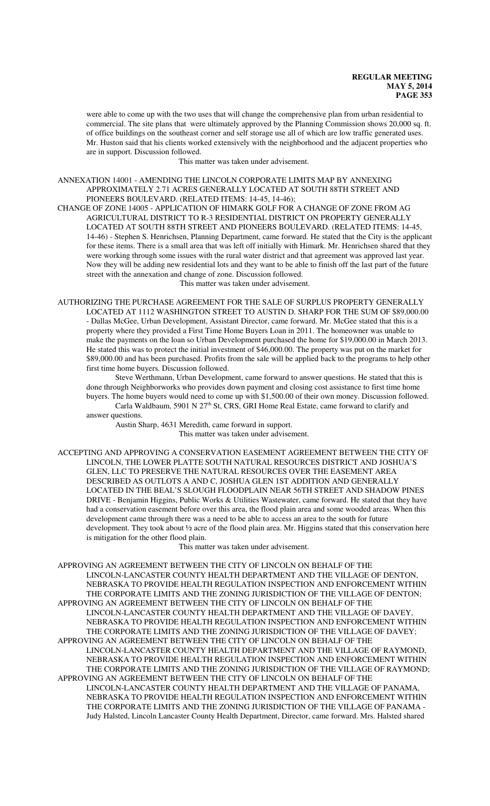were able to come up with the two uses that will change the comprehensive plan from urban residential to commercial. The site plans that were ultimately approved by the Planning Commission shows 20,000 sq. ft. of office buildings on the southeast corner and self storage use all of which are low traffic generated uses. Mr. Huston said that his clients worked extensively with the neighborhood and the adjacent properties who are in support. Discussion followed.

This matter was taken under advisement.

ANNEXATION 14001 - AMENDING THE LINCOLN CORPORATE LIMITS MAP BY ANNEXING APPROXIMATELY 2.71 ACRES GENERALLY LOCATED AT SOUTH 88TH STREET AND PIONEERS BOULEVARD. (RELATED ITEMS: 14-45, 14-46);

CHANGE OF ZONE 14005 - APPLICATION OF HIMARK GOLF FOR A CHANGE OF ZONE FROM AG AGRICULTURAL DISTRICT TO R-3 RESIDENTIAL DISTRICT ON PROPERTY GENERALLY LOCATED AT SOUTH 88TH STREET AND PIONEERS BOULEVARD. (RELATED ITEMS: 14-45, 14-46) - Stephen S. Henrichsen, Planning Department, came forward. He stated that the City is the applicant for these items. There is a small area that was left off initially with Himark. Mr. Henrichsen shared that they were working through some issues with the rural water district and that agreement was approved last year. Now they will be adding new residential lots and they want to be able to finish off the last part of the future street with the annexation and change of zone. Discussion followed.

This matter was taken under advisement.

AUTHORIZING THE PURCHASE AGREEMENT FOR THE SALE OF SURPLUS PROPERTY GENERALLY LOCATED AT 1112 WASHINGTON STREET TO AUSTIN D. SHARP FOR THE SUM OF \$89,000.00 - Dallas McGee, Urban Development, Assistant Director, came forward. Mr. McGee stated that this is a property where they provided a First Time Home Buyers Loan in 2011. The homeowner was unable to make the payments on the loan so Urban Development purchased the home for \$19,000.00 in March 2013. He stated this was to protect the initial investment of \$46,000.00. The property was put on the market for \$89,000.00 and has been purchased. Profits from the sale will be applied back to the programs to help other first time home buyers. Discussion followed.

Steve Werthmann, Urban Development, came forward to answer questions. He stated that this is done through Neighborworks who provides down payment and closing cost assistance to first time home buyers. The home buyers would need to come up with \$1,500.00 of their own money. Discussion followed. Carla Waldbaum, 5901 N 27<sup>th</sup> St, CRS, GRI Home Real Estate, came forward to clarify and

answer questions. Austin Sharp, 4631 Meredith, came forward in support.

This matter was taken under advisement.

ACCEPTING AND APPROVING A CONSERVATION EASEMENT AGREEMENT BETWEEN THE CITY OF LINCOLN, THE LOWER PLATTE SOUTH NATURAL RESOURCES DISTRICT AND JOSHUA'S GLEN, LLC TO PRESERVE THE NATURAL RESOURCES OVER THE EASEMENT AREA DESCRIBED AS OUTLOTS A AND C, JOSHUA GLEN 1ST ADDITION AND GENERALLY LOCATED IN THE BEAL'S SLOUGH FLOODPLAIN NEAR 56TH STREET AND SHADOW PINES DRIVE - Benjamin Higgins, Public Works & Utilities Wastewater, came forward. He stated that they have had a conservation easement before over this area, the flood plain area and some wooded areas. When this development came through there was a need to be able to access an area to the south for future development. They took about ½ acre of the flood plain area. Mr. Higgins stated that this conservation here is mitigation for the other flood plain.

This matter was taken under advisement.

APPROVING AN AGREEMENT BETWEEN THE CITY OF LINCOLN ON BEHALF OF THE LINCOLN-LANCASTER COUNTY HEALTH DEPARTMENT AND THE VILLAGE OF DENTON, NEBRASKA TO PROVIDE HEALTH REGULATION INSPECTION AND ENFORCEMENT WITHIN THE CORPORATE LIMITS AND THE ZONING JURISDICTION OF THE VILLAGE OF DENTON; APPROVING AN AGREEMENT BETWEEN THE CITY OF LINCOLN ON BEHALF OF THE LINCOLN-LANCASTER COUNTY HEALTH DEPARTMENT AND THE VILLAGE OF DAVEY, NEBRASKA TO PROVIDE HEALTH REGULATION INSPECTION AND ENFORCEMENT WITHIN THE CORPORATE LIMITS AND THE ZONING JURISDICTION OF THE VILLAGE OF DAVEY; APPROVING AN AGREEMENT BETWEEN THE CITY OF LINCOLN ON BEHALF OF THE

LINCOLN-LANCASTER COUNTY HEALTH DEPARTMENT AND THE VILLAGE OF RAYMOND, NEBRASKA TO PROVIDE HEALTH REGULATION INSPECTION AND ENFORCEMENT WITHIN THE CORPORATE LIMITS AND THE ZONING JURISDICTION OF THE VILLAGE OF RAYMOND; APPROVING AN AGREEMENT BETWEEN THE CITY OF LINCOLN ON BEHALF OF THE

LINCOLN-LANCASTER COUNTY HEALTH DEPARTMENT AND THE VILLAGE OF PANAMA, NEBRASKA TO PROVIDE HEALTH REGULATION INSPECTION AND ENFORCEMENT WITHIN THE CORPORATE LIMITS AND THE ZONING JURISDICTION OF THE VILLAGE OF PANAMA - Judy Halsted, Lincoln Lancaster County Health Department, Director, came forward. Mrs. Halsted shared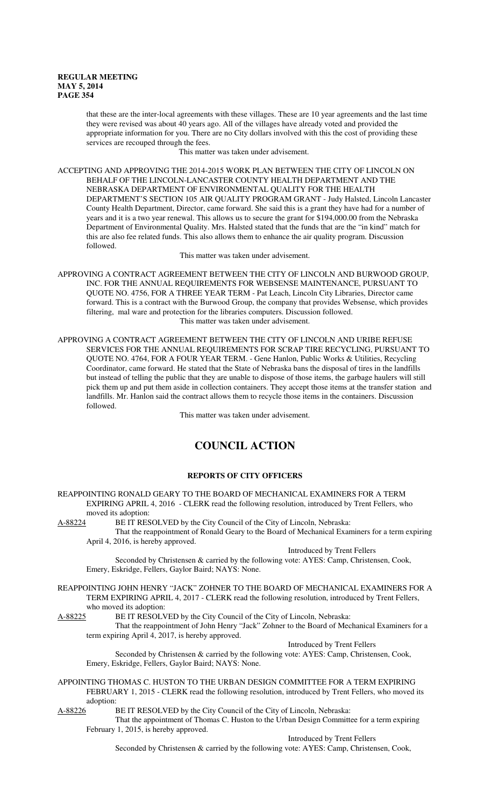that these are the inter-local agreements with these villages. These are 10 year agreements and the last time they were revised was about 40 years ago. All of the villages have already voted and provided the appropriate information for you. There are no City dollars involved with this the cost of providing these services are recouped through the fees.

This matter was taken under advisement.

ACCEPTING AND APPROVING THE 2014-2015 WORK PLAN BETWEEN THE CITY OF LINCOLN ON BEHALF OF THE LINCOLN-LANCASTER COUNTY HEALTH DEPARTMENT AND THE NEBRASKA DEPARTMENT OF ENVIRONMENTAL QUALITY FOR THE HEALTH DEPARTMENT'S SECTION 105 AIR QUALITY PROGRAM GRANT - Judy Halsted, Lincoln Lancaster County Health Department, Director, came forward. She said this is a grant they have had for a number of years and it is a two year renewal. This allows us to secure the grant for \$194,000.00 from the Nebraska Department of Environmental Quality. Mrs. Halsted stated that the funds that are the "in kind" match for this are also fee related funds. This also allows them to enhance the air quality program. Discussion followed.

This matter was taken under advisement.

APPROVING A CONTRACT AGREEMENT BETWEEN THE CITY OF LINCOLN AND BURWOOD GROUP, INC. FOR THE ANNUAL REQUIREMENTS FOR WEBSENSE MAINTENANCE, PURSUANT TO QUOTE NO. 4756, FOR A THREE YEAR TERM - Pat Leach, Lincoln City Libraries, Director came forward. This is a contract with the Burwood Group, the company that provides Websense, which provides filtering, mal ware and protection for the libraries computers. Discussion followed. This matter was taken under advisement.

APPROVING A CONTRACT AGREEMENT BETWEEN THE CITY OF LINCOLN AND URIBE REFUSE SERVICES FOR THE ANNUAL REQUIREMENTS FOR SCRAP TIRE RECYCLING, PURSUANT TO QUOTE NO. 4764, FOR A FOUR YEAR TERM. - Gene Hanlon, Public Works & Utilities, Recycling Coordinator, came forward. He stated that the State of Nebraska bans the disposal of tires in the landfills but instead of telling the public that they are unable to dispose of those items, the garbage haulers will still pick them up and put them aside in collection containers. They accept those items at the transfer station and landfills. Mr. Hanlon said the contract allows them to recycle those items in the containers. Discussion followed.

This matter was taken under advisement.

# **COUNCIL ACTION**

#### **REPORTS OF CITY OFFICERS**

REAPPOINTING RONALD GEARY TO THE BOARD OF MECHANICAL EXAMINERS FOR A TERM EXPIRING APRIL 4, 2016 - CLERK read the following resolution, introduced by Trent Fellers, who

moved its adoption:<br>A-88224 BE IT RES BE IT RESOLVED by the City Council of the City of Lincoln, Nebraska: That the reappointment of Ronald Geary to the Board of Mechanical Examiners for a term expiring April 4, 2016, is hereby approved.

Introduced by Trent Fellers

Seconded by Christensen & carried by the following vote: AYES: Camp, Christensen, Cook, Emery, Eskridge, Fellers, Gaylor Baird; NAYS: None.

REAPPOINTING JOHN HENRY "JACK" ZOHNER TO THE BOARD OF MECHANICAL EXAMINERS FOR A TERM EXPIRING APRIL 4, 2017 - CLERK read the following resolution, introduced by Trent Fellers, who moved its adoption:<br>A-88225 BE IT RESOLV

BE IT RESOLVED by the City Council of the City of Lincoln, Nebraska:

That the reappointment of John Henry "Jack" Zohner to the Board of Mechanical Examiners for a term expiring April 4, 2017, is hereby approved.

Introduced by Trent Fellers

Seconded by Christensen & carried by the following vote: AYES: Camp, Christensen, Cook, Emery, Eskridge, Fellers, Gaylor Baird; NAYS: None.

APPOINTING THOMAS C. HUSTON TO THE URBAN DESIGN COMMITTEE FOR A TERM EXPIRING FEBRUARY 1, 2015 - CLERK read the following resolution, introduced by Trent Fellers, who moved its adoption:<br>A-88226 I

BE IT RESOLVED by the City Council of the City of Lincoln, Nebraska:

That the appointment of Thomas C. Huston to the Urban Design Committee for a term expiring February 1, 2015, is hereby approved.

Introduced by Trent Fellers

Seconded by Christensen & carried by the following vote: AYES: Camp, Christensen, Cook,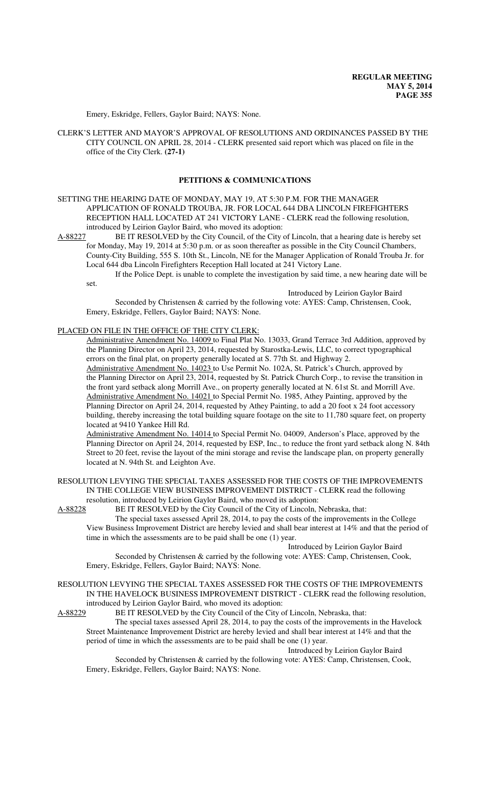Emery, Eskridge, Fellers, Gaylor Baird; NAYS: None.

CLERK'S LETTER AND MAYOR'S APPROVAL OF RESOLUTIONS AND ORDINANCES PASSED BY THE CITY COUNCIL ON APRIL 28, 2014 - CLERK presented said report which was placed on file in the office of the City Clerk. **(27-1)**

#### **PETITIONS & COMMUNICATIONS**

SETTING THE HEARING DATE OF MONDAY, MAY 19, AT 5:30 P.M. FOR THE MANAGER APPLICATION OF RONALD TROUBA, JR. FOR LOCAL 644 DBA LINCOLN FIREFIGHTERS RECEPTION HALL LOCATED AT 241 VICTORY LANE - CLERK read the following resolution, introduced by Leirion Gaylor Baird, who moved its adoption:

A-88227 BE IT RESOLVED by the City Council, of the City of Lincoln, that a hearing date is hereby set for Monday, May 19, 2014 at 5:30 p.m. or as soon thereafter as possible in the City Council Chambers, County-City Building, 555 S. 10th St., Lincoln, NE for the Manager Application of Ronald Trouba Jr. for Local 644 dba Lincoln Firefighters Reception Hall located at 241 Victory Lane.

If the Police Dept. is unable to complete the investigation by said time, a new hearing date will be set.

Introduced by Leirion Gaylor Baird Seconded by Christensen & carried by the following vote: AYES: Camp, Christensen, Cook, Emery, Eskridge, Fellers, Gaylor Baird; NAYS: None.

#### PLACED ON FILE IN THE OFFICE OF THE CITY CLERK:

Administrative Amendment No. 14009 to Final Plat No. 13033, Grand Terrace 3rd Addition, approved by the Planning Director on April 23, 2014, requested by Starostka-Lewis, LLC, to correct typographical errors on the final plat, on property generally located at S. 77th St. and Highway 2.

Administrative Amendment No. 14023 to Use Permit No. 102A, St. Patrick's Church, approved by the Planning Director on April 23, 2014, requested by St. Patrick Church Corp., to revise the transition in the front yard setback along Morrill Ave., on property generally located at N. 61st St. and Morrill Ave. Administrative Amendment No. 14021 to Special Permit No. 1985, Athey Painting, approved by the Planning Director on April 24, 2014, requested by Athey Painting, to add a 20 foot x 24 foot accessory building, thereby increasing the total building square footage on the site to 11,780 square feet, on property located at 9410 Yankee Hill Rd.

Administrative Amendment No. 14014 to Special Permit No. 04009, Anderson's Place, approved by the Planning Director on April 24, 2014, requested by ESP, Inc., to reduce the front yard setback along N. 84th Street to 20 feet, revise the layout of the mini storage and revise the landscape plan, on property generally located at N. 94th St. and Leighton Ave.

RESOLUTION LEVYING THE SPECIAL TAXES ASSESSED FOR THE COSTS OF THE IMPROVEMENTS IN THE COLLEGE VIEW BUSINESS IMPROVEMENT DISTRICT - CLERK read the following resolution, introduced by Leirion Gaylor Baird, who moved its adoption:

A-88228 BE IT RESOLVED by the City Council of the City of Lincoln, Nebraska, that:

The special taxes assessed April 28, 2014, to pay the costs of the improvements in the College View Business Improvement District are hereby levied and shall bear interest at 14% and that the period of time in which the assessments are to be paid shall be one (1) year.

Introduced by Leirion Gaylor Baird Seconded by Christensen & carried by the following vote: AYES: Camp, Christensen, Cook, Emery, Eskridge, Fellers, Gaylor Baird; NAYS: None.

RESOLUTION LEVYING THE SPECIAL TAXES ASSESSED FOR THE COSTS OF THE IMPROVEMENTS IN THE HAVELOCK BUSINESS IMPROVEMENT DISTRICT - CLERK read the following resolution, introduced by Leirion Gaylor Baird, who moved its adoption:

A-88229 BE IT RESOLVED by the City Council of the City of Lincoln, Nebraska, that: The special taxes assessed April 28, 2014, to pay the costs of the improvements in the Havelock

Street Maintenance Improvement District are hereby levied and shall bear interest at 14% and that the period of time in which the assessments are to be paid shall be one (1) year. Introduced by Leirion Gaylor Baird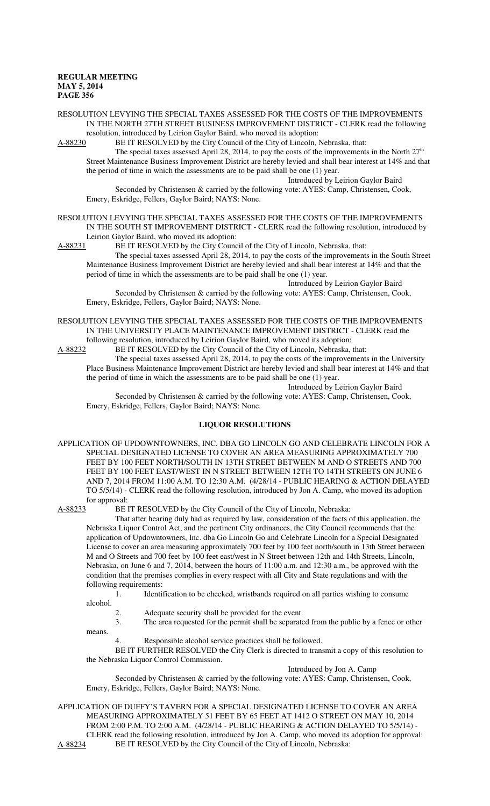RESOLUTION LEVYING THE SPECIAL TAXES ASSESSED FOR THE COSTS OF THE IMPROVEMENTS IN THE NORTH 27TH STREET BUSINESS IMPROVEMENT DISTRICT - CLERK read the following resolution, introduced by Leirion Gaylor Baird, who moved its adoption:

A-88230 BE IT RESOLVED by the City Council of the City of Lincoln, Nebraska, that:

The special taxes assessed April 28, 2014, to pay the costs of the improvements in the North  $27<sup>th</sup>$ Street Maintenance Business Improvement District are hereby levied and shall bear interest at 14% and that the period of time in which the assessments are to be paid shall be one (1) year. Introduced by Leirion Gaylor Baird

Seconded by Christensen & carried by the following vote: AYES: Camp, Christensen, Cook, Emery, Eskridge, Fellers, Gaylor Baird; NAYS: None.

RESOLUTION LEVYING THE SPECIAL TAXES ASSESSED FOR THE COSTS OF THE IMPROVEMENTS IN THE SOUTH ST IMPROVEMENT DISTRICT - CLERK read the following resolution, introduced by Leirion Gaylor Baird, who moved its adoption:

A-88231 BE IT RESOLVED by the City Council of the City of Lincoln, Nebraska, that:

The special taxes assessed April 28, 2014, to pay the costs of the improvements in the South Street Maintenance Business Improvement District are hereby levied and shall bear interest at 14% and that the period of time in which the assessments are to be paid shall be one (1) year.

Introduced by Leirion Gaylor Baird Seconded by Christensen & carried by the following vote: AYES: Camp, Christensen, Cook, Emery, Eskridge, Fellers, Gaylor Baird; NAYS: None.

RESOLUTION LEVYING THE SPECIAL TAXES ASSESSED FOR THE COSTS OF THE IMPROVEMENTS IN THE UNIVERSITY PLACE MAINTENANCE IMPROVEMENT DISTRICT - CLERK read the following resolution, introduced by Leirion Gaylor Baird, who moved its adoption:

A-88232 BE IT RESOLVED by the City Council of the City of Lincoln, Nebraska, that:

The special taxes assessed April 28, 2014, to pay the costs of the improvements in the University Place Business Maintenance Improvement District are hereby levied and shall bear interest at 14% and that the period of time in which the assessments are to be paid shall be one (1) year.

Introduced by Leirion Gaylor Baird Seconded by Christensen & carried by the following vote: AYES: Camp, Christensen, Cook, Emery, Eskridge, Fellers, Gaylor Baird; NAYS: None.

#### **LIQUOR RESOLUTIONS**

APPLICATION OF UPDOWNTOWNERS, INC. DBA GO LINCOLN GO AND CELEBRATE LINCOLN FOR A SPECIAL DESIGNATED LICENSE TO COVER AN AREA MEASURING APPROXIMATELY 700 FEET BY 100 FEET NORTH/SOUTH IN 13TH STREET BETWEEN M AND O STREETS AND 700 FEET BY 100 FEET EAST/WEST IN N STREET BETWEEN 12TH TO 14TH STREETS ON JUNE 6 AND 7, 2014 FROM 11:00 A.M. TO 12:30 A.M. (4/28/14 - PUBLIC HEARING & ACTION DELAYED TO 5/5/14) - CLERK read the following resolution, introduced by Jon A. Camp, who moved its adoption for approval:<br>A-88233 BE I

BE IT RESOLVED by the City Council of the City of Lincoln, Nebraska:

That after hearing duly had as required by law, consideration of the facts of this application, the Nebraska Liquor Control Act, and the pertinent City ordinances, the City Council recommends that the application of Updowntowners, Inc. dba Go Lincoln Go and Celebrate Lincoln for a Special Designated License to cover an area measuring approximately 700 feet by 100 feet north/south in 13th Street between M and O Streets and 700 feet by 100 feet east/west in N Street between 12th and 14th Streets, Lincoln, Nebraska, on June 6 and 7, 2014, between the hours of 11:00 a.m. and 12:30 a.m., be approved with the condition that the premises complies in every respect with all City and State regulations and with the following requirements:

1. Identification to be checked, wristbands required on all parties wishing to consume alcohol.

2. Adequate security shall be provided for the event.

3. The area requested for the permit shall be separated from the public by a fence or other means.

4. Responsible alcohol service practices shall be followed.

BE IT FURTHER RESOLVED the City Clerk is directed to transmit a copy of this resolution to the Nebraska Liquor Control Commission.

Introduced by Jon A. Camp

Seconded by Christensen & carried by the following vote: AYES: Camp, Christensen, Cook, Emery, Eskridge, Fellers, Gaylor Baird; NAYS: None.

APPLICATION OF DUFFY'S TAVERN FOR A SPECIAL DESIGNATED LICENSE TO COVER AN AREA MEASURING APPROXIMATELY 51 FEET BY 65 FEET AT 1412 O STREET ON MAY 10, 2014 FROM 2:00 P.M. TO 2:00 A.M. (4/28/14 - PUBLIC HEARING & ACTION DELAYED TO 5/5/14) - CLERK read the following resolution, introduced by Jon A. Camp, who moved its adoption for approval: A-88234 BE IT RESOLVED by the City Council of the City of Lincoln, Nebraska: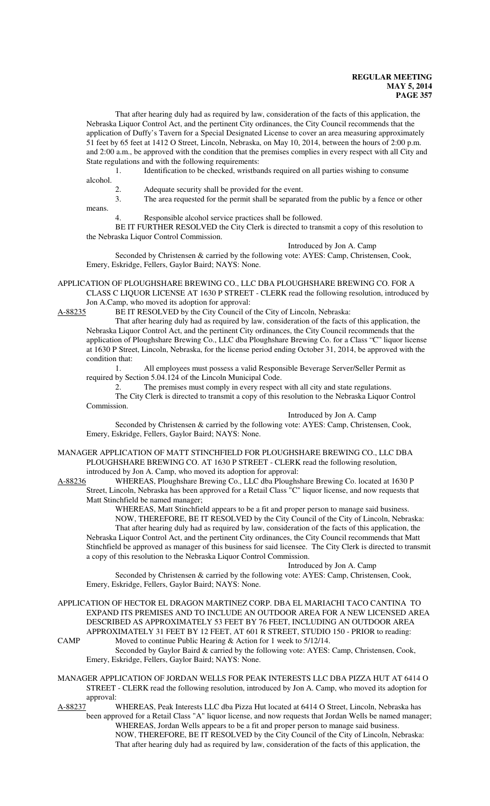That after hearing duly had as required by law, consideration of the facts of this application, the Nebraska Liquor Control Act, and the pertinent City ordinances, the City Council recommends that the application of Duffy's Tavern for a Special Designated License to cover an area measuring approximately 51 feet by 65 feet at 1412 O Street, Lincoln, Nebraska, on May 10, 2014, between the hours of 2:00 p.m. and 2:00 a.m., be approved with the condition that the premises complies in every respect with all City and State regulations and with the following requirements:

1. Identification to be checked, wristbands required on all parties wishing to consume alcohol.

2. Adequate security shall be provided for the event.

3. The area requested for the permit shall be separated from the public by a fence or other means.

Responsible alcohol service practices shall be followed.

BE IT FURTHER RESOLVED the City Clerk is directed to transmit a copy of this resolution to the Nebraska Liquor Control Commission.

Introduced by Jon A. Camp

Seconded by Christensen & carried by the following vote: AYES: Camp, Christensen, Cook, Emery, Eskridge, Fellers, Gaylor Baird; NAYS: None.

APPLICATION OF PLOUGHSHARE BREWING CO., LLC DBA PLOUGHSHARE BREWING CO. FOR A CLASS C LIQUOR LICENSE AT 1630 P STREET - CLERK read the following resolution, introduced by

Jon A.Camp, who moved its adoption for approval:<br>A-88235 BE IT RESOLVED by the City Council of BE IT RESOLVED by the City Council of the City of Lincoln, Nebraska:

That after hearing duly had as required by law, consideration of the facts of this application, the Nebraska Liquor Control Act, and the pertinent City ordinances, the City Council recommends that the application of Ploughshare Brewing Co., LLC dba Ploughshare Brewing Co. for a Class "C" liquor license at 1630 P Street, Lincoln, Nebraska, for the license period ending October 31, 2014, be approved with the condition that:

1. All employees must possess a valid Responsible Beverage Server/Seller Permit as required by Section 5.04.124 of the Lincoln Municipal Code.

2. The premises must comply in every respect with all city and state regulations. The City Clerk is directed to transmit a copy of this resolution to the Nebraska Liquor Control Commission.

Introduced by Jon A. Camp Seconded by Christensen & carried by the following vote: AYES: Camp, Christensen, Cook, Emery, Eskridge, Fellers, Gaylor Baird; NAYS: None.

MANAGER APPLICATION OF MATT STINCHFIELD FOR PLOUGHSHARE BREWING CO., LLC DBA PLOUGHSHARE BREWING CO. AT 1630 P STREET - CLERK read the following resolution, introduced by Jon A. Camp, who moved its adoption for approval:

A-88236 WHEREAS, Ploughshare Brewing Co., LLC dba Ploughshare Brewing Co. located at 1630 P Street, Lincoln, Nebraska has been approved for a Retail Class "C" liquor license, and now requests that Matt Stinchfield be named manager;

WHEREAS, Matt Stinchfield appears to be a fit and proper person to manage said business. NOW, THEREFORE, BE IT RESOLVED by the City Council of the City of Lincoln, Nebraska: That after hearing duly had as required by law, consideration of the facts of this application, the Nebraska Liquor Control Act, and the pertinent City ordinances, the City Council recommends that Matt Stinchfield be approved as manager of this business for said licensee. The City Clerk is directed to transmit a copy of this resolution to the Nebraska Liquor Control Commission.

Introduced by Jon A. Camp Seconded by Christensen & carried by the following vote: AYES: Camp, Christensen, Cook, Emery, Eskridge, Fellers, Gaylor Baird; NAYS: None.

APPLICATION OF HECTOR EL DRAGON MARTINEZ CORP. DBA EL MARIACHI TACO CANTINA TO EXPAND ITS PREMISES AND TO INCLUDE AN OUTDOOR AREA FOR A NEW LICENSED AREA DESCRIBED AS APPROXIMATELY 53 FEET BY 76 FEET, INCLUDING AN OUTDOOR AREA APPROXIMATELY 31 FEET BY 12 FEET, AT 601 R STREET, STUDIO 150 - PRIOR to reading: CAMP Moved to continue Public Hearing & Action for 1 week to 5/12/14.

Seconded by Gaylor Baird & carried by the following vote: AYES: Camp, Christensen, Cook, Emery, Eskridge, Fellers, Gaylor Baird; NAYS: None.

MANAGER APPLICATION OF JORDAN WELLS FOR PEAK INTERESTS LLC DBA PIZZA HUT AT 6414 O STREET - CLERK read the following resolution, introduced by Jon A. Camp, who moved its adoption for approval:

A-88237 WHEREAS, Peak Interests LLC dba Pizza Hut located at 6414 O Street, Lincoln, Nebraska has been approved for a Retail Class "A" liquor license, and now requests that Jordan Wells be named manager; WHEREAS, Jordan Wells appears to be a fit and proper person to manage said business. NOW, THEREFORE, BE IT RESOLVED by the City Council of the City of Lincoln, Nebraska: That after hearing duly had as required by law, consideration of the facts of this application, the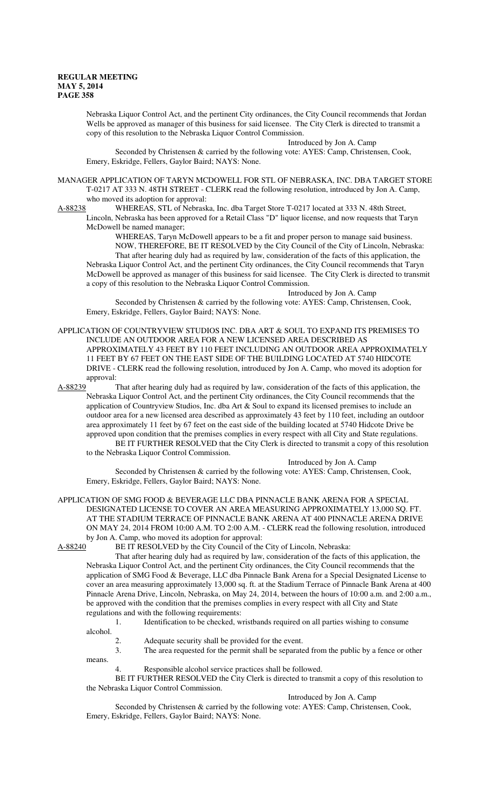Nebraska Liquor Control Act, and the pertinent City ordinances, the City Council recommends that Jordan Wells be approved as manager of this business for said licensee. The City Clerk is directed to transmit a copy of this resolution to the Nebraska Liquor Control Commission.

Introduced by Jon A. Camp

Seconded by Christensen & carried by the following vote: AYES: Camp, Christensen, Cook, Emery, Eskridge, Fellers, Gaylor Baird; NAYS: None.

MANAGER APPLICATION OF TARYN MCDOWELL FOR STL OF NEBRASKA, INC. DBA TARGET STORE T-0217 AT 333 N. 48TH STREET - CLERK read the following resolution, introduced by Jon A. Camp, who moved its adoption for approval:<br>A-88238 WHEREAS, STL of Nebrask

WHEREAS, STL of Nebraska, Inc. dba Target Store T-0217 located at 333 N. 48th Street, Lincoln, Nebraska has been approved for a Retail Class "D" liquor license, and now requests that Taryn McDowell be named manager;

WHEREAS, Taryn McDowell appears to be a fit and proper person to manage said business. NOW, THEREFORE, BE IT RESOLVED by the City Council of the City of Lincoln, Nebraska: That after hearing duly had as required by law, consideration of the facts of this application, the Nebraska Liquor Control Act, and the pertinent City ordinances, the City Council recommends that Taryn McDowell be approved as manager of this business for said licensee. The City Clerk is directed to transmit a copy of this resolution to the Nebraska Liquor Control Commission.

Introduced by Jon A. Camp

Seconded by Christensen & carried by the following vote: AYES: Camp, Christensen, Cook, Emery, Eskridge, Fellers, Gaylor Baird; NAYS: None.

APPLICATION OF COUNTRYVIEW STUDIOS INC. DBA ART & SOUL TO EXPAND ITS PREMISES TO INCLUDE AN OUTDOOR AREA FOR A NEW LICENSED AREA DESCRIBED AS APPROXIMATELY 43 FEET BY 110 FEET INCLUDING AN OUTDOOR AREA APPROXIMATELY 11 FEET BY 67 FEET ON THE EAST SIDE OF THE BUILDING LOCATED AT 5740 HIDCOTE DRIVE - CLERK read the following resolution, introduced by Jon A. Camp, who moved its adoption for approval:<br>A-88239 1

That after hearing duly had as required by law, consideration of the facts of this application, the Nebraska Liquor Control Act, and the pertinent City ordinances, the City Council recommends that the application of Countryview Studios, Inc. dba Art & Soul to expand its licensed premises to include an outdoor area for a new licensed area described as approximately 43 feet by 110 feet, including an outdoor area approximately 11 feet by 67 feet on the east side of the building located at 5740 Hidcote Drive be approved upon condition that the premises complies in every respect with all City and State regulations.

BE IT FURTHER RESOLVED that the City Clerk is directed to transmit a copy of this resolution to the Nebraska Liquor Control Commission.

Introduced by Jon A. Camp

Seconded by Christensen & carried by the following vote: AYES: Camp, Christensen, Cook, Emery, Eskridge, Fellers, Gaylor Baird; NAYS: None.

APPLICATION OF SMG FOOD & BEVERAGE LLC DBA PINNACLE BANK ARENA FOR A SPECIAL DESIGNATED LICENSE TO COVER AN AREA MEASURING APPROXIMATELY 13,000 SQ. FT. AT THE STADIUM TERRACE OF PINNACLE BANK ARENA AT 400 PINNACLE ARENA DRIVE ON MAY 24, 2014 FROM 10:00 A.M. TO 2:00 A.M. - CLERK read the following resolution, introduced by Jon A. Camp, who moved its adoption for approval:<br>A-88240 BE IT RESOLVED by the City Council of the

BE IT RESOLVED by the City Council of the City of Lincoln, Nebraska:

That after hearing duly had as required by law, consideration of the facts of this application, the Nebraska Liquor Control Act, and the pertinent City ordinances, the City Council recommends that the application of SMG Food & Beverage, LLC dba Pinnacle Bank Arena for a Special Designated License to cover an area measuring approximately 13,000 sq. ft. at the Stadium Terrace of Pinnacle Bank Arena at 400 Pinnacle Arena Drive, Lincoln, Nebraska, on May 24, 2014, between the hours of 10:00 a.m. and 2:00 a.m., be approved with the condition that the premises complies in every respect with all City and State regulations and with the following requirements:

1. Identification to be checked, wristbands required on all parties wishing to consume

- alcohol.
	- 2. Adequate security shall be provided for the event.

3. The area requested for the permit shall be separated from the public by a fence or other means.

Responsible alcohol service practices shall be followed.

BE IT FURTHER RESOLVED the City Clerk is directed to transmit a copy of this resolution to the Nebraska Liquor Control Commission.

Introduced by Jon A. Camp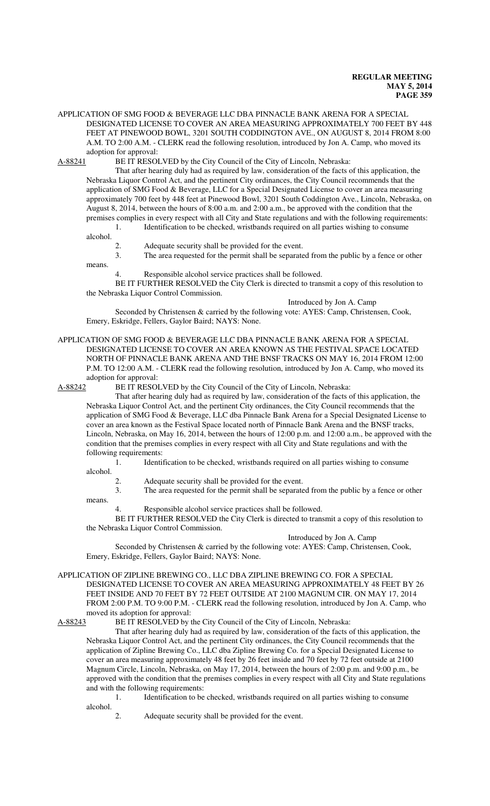APPLICATION OF SMG FOOD & BEVERAGE LLC DBA PINNACLE BANK ARENA FOR A SPECIAL DESIGNATED LICENSE TO COVER AN AREA MEASURING APPROXIMATELY 700 FEET BY 448 FEET AT PINEWOOD BOWL, 3201 SOUTH CODDINGTON AVE., ON AUGUST 8, 2014 FROM 8:00 A.M. TO 2:00 A.M. - CLERK read the following resolution, introduced by Jon A. Camp, who moved its adoption for approval:

A-88241 BE IT RESOLVED by the City Council of the City of Lincoln, Nebraska:

That after hearing duly had as required by law, consideration of the facts of this application, the Nebraska Liquor Control Act, and the pertinent City ordinances, the City Council recommends that the application of SMG Food & Beverage, LLC for a Special Designated License to cover an area measuring approximately 700 feet by 448 feet at Pinewood Bowl, 3201 South Coddington Ave., Lincoln, Nebraska, on August 8, 2014, between the hours of 8:00 a.m. and 2:00 a.m., be approved with the condition that the premises complies in every respect with all City and State regulations and with the following requirements: 1. Identification to be checked, wristbands required on all parties wishing to consume

alcohol.

means.

2. Adequate security shall be provided for the event.<br>3. The area requested for the permit shall be separate The area requested for the permit shall be separated from the public by a fence or other

Responsible alcohol service practices shall be followed.

BE IT FURTHER RESOLVED the City Clerk is directed to transmit a copy of this resolution to the Nebraska Liquor Control Commission.

Introduced by Jon A. Camp

Seconded by Christensen & carried by the following vote: AYES: Camp, Christensen, Cook, Emery, Eskridge, Fellers, Gaylor Baird; NAYS: None.

## APPLICATION OF SMG FOOD & BEVERAGE LLC DBA PINNACLE BANK ARENA FOR A SPECIAL DESIGNATED LICENSE TO COVER AN AREA KNOWN AS THE FESTIVAL SPACE LOCATED NORTH OF PINNACLE BANK ARENA AND THE BNSF TRACKS ON MAY 16, 2014 FROM 12:00 P.M. TO 12:00 A.M. - CLERK read the following resolution, introduced by Jon A. Camp, who moved its

adoption for approval:<br>A-88242 BE IT RESOI BE IT RESOLVED by the City Council of the City of Lincoln, Nebraska:

That after hearing duly had as required by law, consideration of the facts of this application, the Nebraska Liquor Control Act, and the pertinent City ordinances, the City Council recommends that the application of SMG Food & Beverage, LLC dba Pinnacle Bank Arena for a Special Designated License to cover an area known as the Festival Space located north of Pinnacle Bank Arena and the BNSF tracks, Lincoln, Nebraska, on May 16, 2014, between the hours of 12:00 p.m. and 12:00 a.m., be approved with the condition that the premises complies in every respect with all City and State regulations and with the following requirements:

1. Identification to be checked, wristbands required on all parties wishing to consume alcohol.

2. Adequate security shall be provided for the event.<br>3 The area requested for the permit shall be separate The area requested for the permit shall be separated from the public by a fence or other

means.

Responsible alcohol service practices shall be followed.

BE IT FURTHER RESOLVED the City Clerk is directed to transmit a copy of this resolution to the Nebraska Liquor Control Commission.

Introduced by Jon A. Camp

Seconded by Christensen & carried by the following vote: AYES: Camp, Christensen, Cook, Emery, Eskridge, Fellers, Gaylor Baird; NAYS: None.

APPLICATION OF ZIPLINE BREWING CO., LLC DBA ZIPLINE BREWING CO. FOR A SPECIAL DESIGNATED LICENSE TO COVER AN AREA MEASURING APPROXIMATELY 48 FEET BY 26 FEET INSIDE AND 70 FEET BY 72 FEET OUTSIDE AT 2100 MAGNUM CIR. ON MAY 17, 2014 FROM 2:00 P.M. TO 9:00 P.M. - CLERK read the following resolution, introduced by Jon A. Camp, who moved its adoption for approval:<br>A-88243 BE IT RESOLVED by t

BE IT RESOLVED by the City Council of the City of Lincoln, Nebraska:

That after hearing duly had as required by law, consideration of the facts of this application, the Nebraska Liquor Control Act, and the pertinent City ordinances, the City Council recommends that the application of Zipline Brewing Co., LLC dba Zipline Brewing Co. for a Special Designated License to cover an area measuring approximately 48 feet by 26 feet inside and 70 feet by 72 feet outside at 2100 Magnum Circle, Lincoln, Nebraska, on May 17, 2014, between the hours of 2:00 p.m. and 9:00 p.m., be approved with the condition that the premises complies in every respect with all City and State regulations and with the following requirements:

1. Identification to be checked, wristbands required on all parties wishing to consume alcohol.

2. Adequate security shall be provided for the event.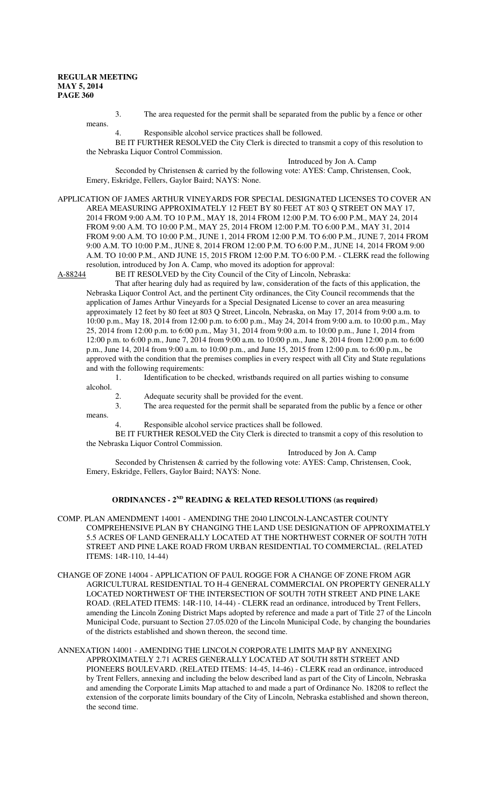3. The area requested for the permit shall be separated from the public by a fence or other means.

4. Responsible alcohol service practices shall be followed.

BE IT FURTHER RESOLVED the City Clerk is directed to transmit a copy of this resolution to the Nebraska Liquor Control Commission. Introduced by Jon A. Camp

Seconded by Christensen & carried by the following vote: AYES: Camp, Christensen, Cook, Emery, Eskridge, Fellers, Gaylor Baird; NAYS: None.

APPLICATION OF JAMES ARTHUR VINEYARDS FOR SPECIAL DESIGNATED LICENSES TO COVER AN AREA MEASURING APPROXIMATELY 12 FEET BY 80 FEET AT 803 Q STREET ON MAY 17, 2014 FROM 9:00 A.M. TO 10 P.M., MAY 18, 2014 FROM 12:00 P.M. TO 6:00 P.M., MAY 24, 2014 FROM 9:00 A.M. TO 10:00 P.M., MAY 25, 2014 FROM 12:00 P.M. TO 6:00 P.M., MAY 31, 2014 FROM 9:00 A.M. TO 10:00 P.M., JUNE 1, 2014 FROM 12:00 P.M. TO 6:00 P.M., JUNE 7, 2014 FROM 9:00 A.M. TO 10:00 P.M., JUNE 8, 2014 FROM 12:00 P.M. TO 6:00 P.M., JUNE 14, 2014 FROM 9:00 A.M. TO 10:00 P.M., AND JUNE 15, 2015 FROM 12:00 P.M. TO 6:00 P.M. - CLERK read the following resolution, introduced by Jon A. Camp, who moved its adoption for approval:

A-88244 BE IT RESOLVED by the City Council of the City of Lincoln, Nebraska:

That after hearing duly had as required by law, consideration of the facts of this application, the Nebraska Liquor Control Act, and the pertinent City ordinances, the City Council recommends that the application of James Arthur Vineyards for a Special Designated License to cover an area measuring approximately 12 feet by 80 feet at 803 Q Street, Lincoln, Nebraska, on May 17, 2014 from 9:00 a.m. to 10:00 p.m., May 18, 2014 from 12:00 p.m. to 6:00 p.m., May 24, 2014 from 9:00 a.m. to 10:00 p.m., May 25, 2014 from 12:00 p.m. to 6:00 p.m., May 31, 2014 from 9:00 a.m. to 10:00 p.m., June 1, 2014 from 12:00 p.m. to 6:00 p.m., June 7, 2014 from 9:00 a.m. to 10:00 p.m., June 8, 2014 from 12:00 p.m. to 6:00 p.m., June 14, 2014 from 9:00 a.m. to 10:00 p.m., and June 15, 2015 from 12:00 p.m. to 6:00 p.m., be approved with the condition that the premises complies in every respect with all City and State regulations and with the following requirements:

1. Identification to be checked, wristbands required on all parties wishing to consume alcohol.

2. Adequate security shall be provided for the event.<br>3. The area requested for the permit shall be separate

The area requested for the permit shall be separated from the public by a fence or other means.

4. Responsible alcohol service practices shall be followed.

BE IT FURTHER RESOLVED the City Clerk is directed to transmit a copy of this resolution to the Nebraska Liquor Control Commission.

Introduced by Jon A. Camp

Seconded by Christensen & carried by the following vote: AYES: Camp, Christensen, Cook, Emery, Eskridge, Fellers, Gaylor Baird; NAYS: None.

## **ORDINANCES - 2ND READING & RELATED RESOLUTIONS (as required)**

- COMP. PLAN AMENDMENT 14001 AMENDING THE 2040 LINCOLN-LANCASTER COUNTY COMPREHENSIVE PLAN BY CHANGING THE LAND USE DESIGNATION OF APPROXIMATELY 5.5 ACRES OF LAND GENERALLY LOCATED AT THE NORTHWEST CORNER OF SOUTH 70TH STREET AND PINE LAKE ROAD FROM URBAN RESIDENTIAL TO COMMERCIAL. (RELATED ITEMS: 14R-110, 14-44)
- CHANGE OF ZONE 14004 APPLICATION OF PAUL ROGGE FOR A CHANGE OF ZONE FROM AGR AGRICULTURAL RESIDENTIAL TO H-4 GENERAL COMMERCIAL ON PROPERTY GENERALLY LOCATED NORTHWEST OF THE INTERSECTION OF SOUTH 70TH STREET AND PINE LAKE ROAD. (RELATED ITEMS: 14R-110, 14-44) - CLERK read an ordinance, introduced by Trent Fellers, amending the Lincoln Zoning District Maps adopted by reference and made a part of Title 27 of the Lincoln Municipal Code, pursuant to Section 27.05.020 of the Lincoln Municipal Code, by changing the boundaries of the districts established and shown thereon, the second time.
- ANNEXATION 14001 AMENDING THE LINCOLN CORPORATE LIMITS MAP BY ANNEXING APPROXIMATELY 2.71 ACRES GENERALLY LOCATED AT SOUTH 88TH STREET AND PIONEERS BOULEVARD. (RELATED ITEMS: 14-45, 14-46) - CLERK read an ordinance, introduced by Trent Fellers, annexing and including the below described land as part of the City of Lincoln, Nebraska and amending the Corporate Limits Map attached to and made a part of Ordinance No. 18208 to reflect the extension of the corporate limits boundary of the City of Lincoln, Nebraska established and shown thereon, the second time.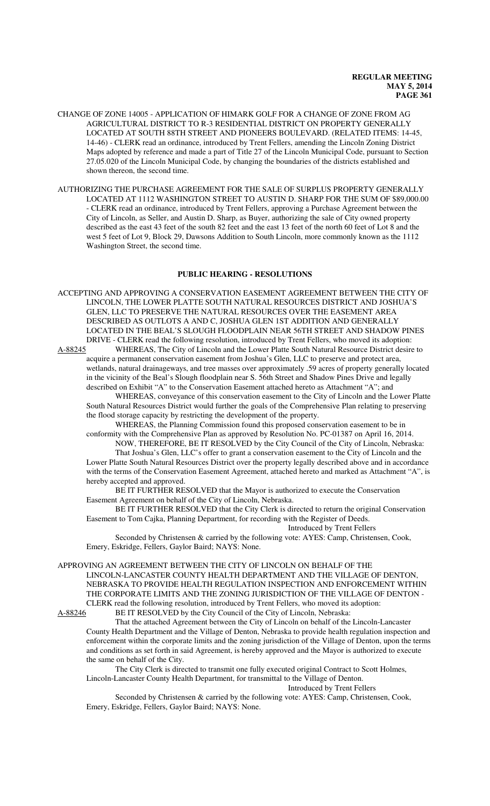- CHANGE OF ZONE 14005 APPLICATION OF HIMARK GOLF FOR A CHANGE OF ZONE FROM AG AGRICULTURAL DISTRICT TO R-3 RESIDENTIAL DISTRICT ON PROPERTY GENERALLY LOCATED AT SOUTH 88TH STREET AND PIONEERS BOULEVARD. (RELATED ITEMS: 14-45, 14-46) - CLERK read an ordinance, introduced by Trent Fellers, amending the Lincoln Zoning District Maps adopted by reference and made a part of Title 27 of the Lincoln Municipal Code, pursuant to Section 27.05.020 of the Lincoln Municipal Code, by changing the boundaries of the districts established and shown thereon, the second time.
- AUTHORIZING THE PURCHASE AGREEMENT FOR THE SALE OF SURPLUS PROPERTY GENERALLY LOCATED AT 1112 WASHINGTON STREET TO AUSTIN D. SHARP FOR THE SUM OF \$89,000.00 - CLERK read an ordinance, introduced by Trent Fellers, approving a Purchase Agreement between the City of Lincoln, as Seller, and Austin D. Sharp, as Buyer, authorizing the sale of City owned property described as the east 43 feet of the south 82 feet and the east 13 feet of the north 60 feet of Lot 8 and the west 5 feet of Lot 9, Block 29, Dawsons Addition to South Lincoln, more commonly known as the 1112 Washington Street, the second time.

#### **PUBLIC HEARING - RESOLUTIONS**

ACCEPTING AND APPROVING A CONSERVATION EASEMENT AGREEMENT BETWEEN THE CITY OF LINCOLN, THE LOWER PLATTE SOUTH NATURAL RESOURCES DISTRICT AND JOSHUA'S GLEN, LLC TO PRESERVE THE NATURAL RESOURCES OVER THE EASEMENT AREA DESCRIBED AS OUTLOTS A AND C, JOSHUA GLEN 1ST ADDITION AND GENERALLY LOCATED IN THE BEAL'S SLOUGH FLOODPLAIN NEAR 56TH STREET AND SHADOW PINES DRIVE - CLERK read the following resolution, introduced by Trent Fellers, who moved its adoption:

A-88245 WHEREAS, The City of Lincoln and the Lower Platte South Natural Resource District desire to acquire a permanent conservation easement from Joshua's Glen, LLC to preserve and protect area, wetlands, natural drainageways, and tree masses over approximately .59 acres of property generally located in the vicinity of the Beal's Slough floodplain near S. 56th Street and Shadow Pines Drive and legally described on Exhibit "A" to the Conservation Easement attached hereto as Attachment "A"; and

WHEREAS, conveyance of this conservation easement to the City of Lincoln and the Lower Platte South Natural Resources District would further the goals of the Comprehensive Plan relating to preserving the flood storage capacity by restricting the development of the property.

WHEREAS, the Planning Commission found this proposed conservation easement to be in conformity with the Comprehensive Plan as approved by Resolution No. PC-01387 on April 16, 2014.

NOW, THEREFORE, BE IT RESOLVED by the City Council of the City of Lincoln, Nebraska: That Joshua's Glen, LLC's offer to grant a conservation easement to the City of Lincoln and the Lower Platte South Natural Resources District over the property legally described above and in accordance with the terms of the Conservation Easement Agreement, attached hereto and marked as Attachment "A", is hereby accepted and approved.

BE IT FURTHER RESOLVED that the Mayor is authorized to execute the Conservation Easement Agreement on behalf of the City of Lincoln, Nebraska.

BE IT FURTHER RESOLVED that the City Clerk is directed to return the original Conservation Easement to Tom Cajka, Planning Department, for recording with the Register of Deeds.

Introduced by Trent Fellers

Seconded by Christensen & carried by the following vote: AYES: Camp, Christensen, Cook, Emery, Eskridge, Fellers, Gaylor Baird; NAYS: None.

APPROVING AN AGREEMENT BETWEEN THE CITY OF LINCOLN ON BEHALF OF THE LINCOLN-LANCASTER COUNTY HEALTH DEPARTMENT AND THE VILLAGE OF DENTON, NEBRASKA TO PROVIDE HEALTH REGULATION INSPECTION AND ENFORCEMENT WITHIN THE CORPORATE LIMITS AND THE ZONING JURISDICTION OF THE VILLAGE OF DENTON - CLERK read the following resolution, introduced by Trent Fellers, who moved its adoption:<br>A-88246 BE IT RESOLVED by the City Council of the City of Lincoln, Nebraska: BE IT RESOLVED by the City Council of the City of Lincoln, Nebraska:

That the attached Agreement between the City of Lincoln on behalf of the Lincoln-Lancaster County Health Department and the Village of Denton, Nebraska to provide health regulation inspection and enforcement within the corporate limits and the zoning jurisdiction of the Village of Denton, upon the terms and conditions as set forth in said Agreement, is hereby approved and the Mayor is authorized to execute the same on behalf of the City.

The City Clerk is directed to transmit one fully executed original Contract to Scott Holmes, Lincoln-Lancaster County Health Department, for transmittal to the Village of Denton.

Introduced by Trent Fellers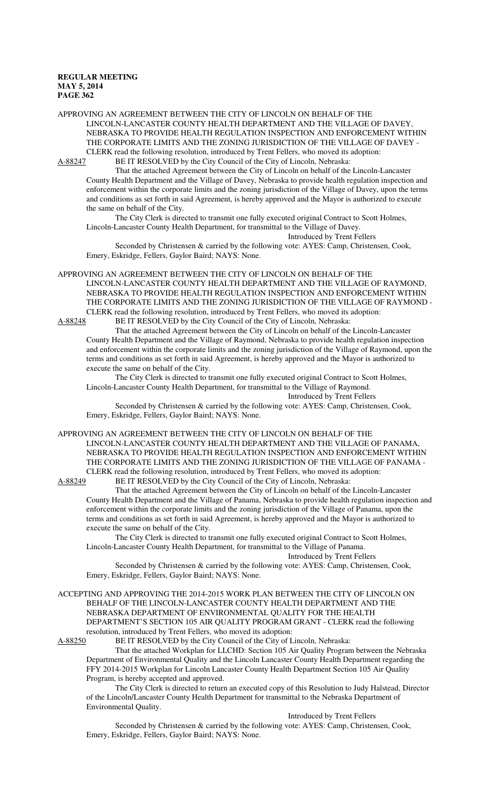APPROVING AN AGREEMENT BETWEEN THE CITY OF LINCOLN ON BEHALF OF THE LINCOLN-LANCASTER COUNTY HEALTH DEPARTMENT AND THE VILLAGE OF DAVEY, NEBRASKA TO PROVIDE HEALTH REGULATION INSPECTION AND ENFORCEMENT WITHIN THE CORPORATE LIMITS AND THE ZONING JURISDICTION OF THE VILLAGE OF DAVEY - CLERK read the following resolution, introduced by Trent Fellers, who moved its adoption: A-88247 BE IT RESOLVED by the City Council of the City of Lincoln, Nebraska:

That the attached Agreement between the City of Lincoln on behalf of the Lincoln-Lancaster County Health Department and the Village of Davey, Nebraska to provide health regulation inspection and enforcement within the corporate limits and the zoning jurisdiction of the Village of Davey, upon the terms and conditions as set forth in said Agreement, is hereby approved and the Mayor is authorized to execute the same on behalf of the City.

The City Clerk is directed to transmit one fully executed original Contract to Scott Holmes, Lincoln-Lancaster County Health Department, for transmittal to the Village of Davey.

Introduced by Trent Fellers

Seconded by Christensen & carried by the following vote: AYES: Camp, Christensen, Cook, Emery, Eskridge, Fellers, Gaylor Baird; NAYS: None.

APPROVING AN AGREEMENT BETWEEN THE CITY OF LINCOLN ON BEHALF OF THE LINCOLN-LANCASTER COUNTY HEALTH DEPARTMENT AND THE VILLAGE OF RAYMOND, NEBRASKA TO PROVIDE HEALTH REGULATION INSPECTION AND ENFORCEMENT WITHIN THE CORPORATE LIMITS AND THE ZONING JURISDICTION OF THE VILLAGE OF RAYMOND - CLERK read the following resolution, introduced by Trent Fellers, who moved its adoption: A-88248 BE IT RESOLVED by the City Council of the City of Lincoln, Nebraska:

That the attached Agreement between the City of Lincoln on behalf of the Lincoln-Lancaster County Health Department and the Village of Raymond, Nebraska to provide health regulation inspection and enforcement within the corporate limits and the zoning jurisdiction of the Village of Raymond, upon the terms and conditions as set forth in said Agreement, is hereby approved and the Mayor is authorized to execute the same on behalf of the City.

The City Clerk is directed to transmit one fully executed original Contract to Scott Holmes, Lincoln-Lancaster County Health Department, for transmittal to the Village of Raymond.

Introduced by Trent Fellers

Seconded by Christensen & carried by the following vote: AYES: Camp, Christensen, Cook, Emery, Eskridge, Fellers, Gaylor Baird; NAYS: None.

APPROVING AN AGREEMENT BETWEEN THE CITY OF LINCOLN ON BEHALF OF THE LINCOLN-LANCASTER COUNTY HEALTH DEPARTMENT AND THE VILLAGE OF PANAMA, NEBRASKA TO PROVIDE HEALTH REGULATION INSPECTION AND ENFORCEMENT WITHIN THE CORPORATE LIMITS AND THE ZONING JURISDICTION OF THE VILLAGE OF PANAMA - CLERK read the following resolution, introduced by Trent Fellers, who moved its adoption:

A-88249 BE IT RESOLVED by the City Council of the City of Lincoln, Nebraska:

That the attached Agreement between the City of Lincoln on behalf of the Lincoln-Lancaster County Health Department and the Village of Panama, Nebraska to provide health regulation inspection and enforcement within the corporate limits and the zoning jurisdiction of the Village of Panama, upon the terms and conditions as set forth in said Agreement, is hereby approved and the Mayor is authorized to execute the same on behalf of the City.

The City Clerk is directed to transmit one fully executed original Contract to Scott Holmes, Lincoln-Lancaster County Health Department, for transmittal to the Village of Panama.

Introduced by Trent Fellers

Seconded by Christensen & carried by the following vote: AYES: Camp, Christensen, Cook, Emery, Eskridge, Fellers, Gaylor Baird; NAYS: None.

ACCEPTING AND APPROVING THE 2014-2015 WORK PLAN BETWEEN THE CITY OF LINCOLN ON BEHALF OF THE LINCOLN-LANCASTER COUNTY HEALTH DEPARTMENT AND THE NEBRASKA DEPARTMENT OF ENVIRONMENTAL QUALITY FOR THE HEALTH DEPARTMENT'S SECTION 105 AIR QUALITY PROGRAM GRANT - CLERK read the following resolution, introduced by Trent Fellers, who moved its adoption:<br>A-88250 BE IT RESOLVED by the City Council of the City of L

BE IT RESOLVED by the City Council of the City of Lincoln, Nebraska:

That the attached Workplan for LLCHD: Section 105 Air Quality Program between the Nebraska Department of Environmental Quality and the Lincoln Lancaster County Health Department regarding the FFY 2014-2015 Workplan for Lincoln Lancaster County Health Department Section 105 Air Quality Program, is hereby accepted and approved.

The City Clerk is directed to return an executed copy of this Resolution to Judy Halstead, Director of the Lincoln/Lancaster County Health Department for transmittal to the Nebraska Department of Environmental Quality.

Introduced by Trent Fellers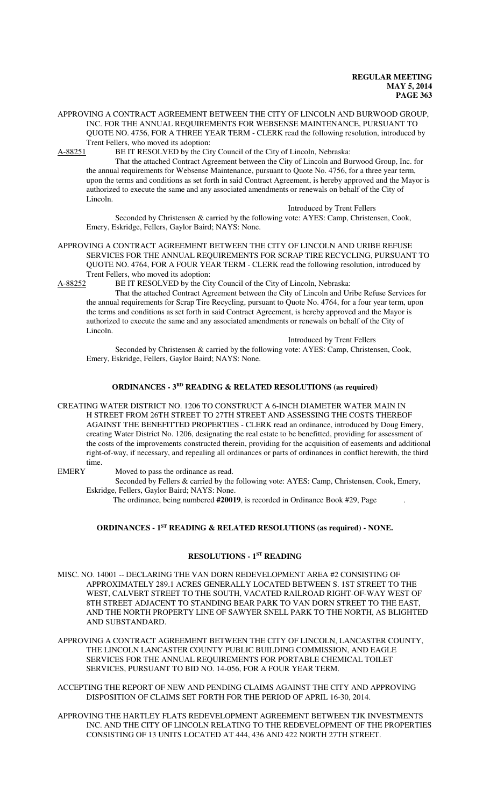APPROVING A CONTRACT AGREEMENT BETWEEN THE CITY OF LINCOLN AND BURWOOD GROUP, INC. FOR THE ANNUAL REQUIREMENTS FOR WEBSENSE MAINTENANCE, PURSUANT TO QUOTE NO. 4756, FOR A THREE YEAR TERM - CLERK read the following resolution, introduced by

Trent Fellers, who moved its adoption:<br>A-88251 BE IT RESOLVED by the Cit BE IT RESOLVED by the City Council of the City of Lincoln, Nebraska:

That the attached Contract Agreement between the City of Lincoln and Burwood Group, Inc. for the annual requirements for Websense Maintenance, pursuant to Quote No. 4756, for a three year term, upon the terms and conditions as set forth in said Contract Agreement, is hereby approved and the Mayor is authorized to execute the same and any associated amendments or renewals on behalf of the City of Lincoln.

Introduced by Trent Fellers

Seconded by Christensen & carried by the following vote: AYES: Camp, Christensen, Cook, Emery, Eskridge, Fellers, Gaylor Baird; NAYS: None.

APPROVING A CONTRACT AGREEMENT BETWEEN THE CITY OF LINCOLN AND URIBE REFUSE SERVICES FOR THE ANNUAL REQUIREMENTS FOR SCRAP TIRE RECYCLING, PURSUANT TO QUOTE NO. 4764, FOR A FOUR YEAR TERM - CLERK read the following resolution, introduced by Trent Fellers, who moved its adoption:

A-88252 BE IT RESOLVED by the City Council of the City of Lincoln, Nebraska:

That the attached Contract Agreement between the City of Lincoln and Uribe Refuse Services for the annual requirements for Scrap Tire Recycling, pursuant to Quote No. 4764, for a four year term, upon the terms and conditions as set forth in said Contract Agreement, is hereby approved and the Mayor is authorized to execute the same and any associated amendments or renewals on behalf of the City of Lincoln.

Introduced by Trent Fellers

Seconded by Christensen & carried by the following vote: AYES: Camp, Christensen, Cook, Emery, Eskridge, Fellers, Gaylor Baird; NAYS: None.

#### **ORDINANCES - 3RD READING & RELATED RESOLUTIONS (as required)**

CREATING WATER DISTRICT NO. 1206 TO CONSTRUCT A 6-INCH DIAMETER WATER MAIN IN H STREET FROM 26TH STREET TO 27TH STREET AND ASSESSING THE COSTS THEREOF AGAINST THE BENEFITTED PROPERTIES - CLERK read an ordinance, introduced by Doug Emery, creating Water District No. 1206, designating the real estate to be benefitted, providing for assessment of the costs of the improvements constructed therein, providing for the acquisition of easements and additional right-of-way, if necessary, and repealing all ordinances or parts of ordinances in conflict herewith, the third time.

EMERY Moved to pass the ordinance as read.

Seconded by Fellers & carried by the following vote: AYES: Camp, Christensen, Cook, Emery, Eskridge, Fellers, Gaylor Baird; NAYS: None.

The ordinance, being numbered **#20019**, is recorded in Ordinance Book #29, Page .

# **ORDINANCES - 1ST READING & RELATED RESOLUTIONS (as required) - NONE.**

## **RESOLUTIONS - 1ST READING**

MISC. NO. 14001 -- DECLARING THE VAN DORN REDEVELOPMENT AREA #2 CONSISTING OF APPROXIMATELY 289.1 ACRES GENERALLY LOCATED BETWEEN S. 1ST STREET TO THE WEST, CALVERT STREET TO THE SOUTH, VACATED RAILROAD RIGHT-OF-WAY WEST OF 8TH STREET ADJACENT TO STANDING BEAR PARK TO VAN DORN STREET TO THE EAST, AND THE NORTH PROPERTY LINE OF SAWYER SNELL PARK TO THE NORTH, AS BLIGHTED AND SUBSTANDARD.

APPROVING A CONTRACT AGREEMENT BETWEEN THE CITY OF LINCOLN, LANCASTER COUNTY, THE LINCOLN LANCASTER COUNTY PUBLIC BUILDING COMMISSION, AND EAGLE SERVICES FOR THE ANNUAL REQUIREMENTS FOR PORTABLE CHEMICAL TOILET SERVICES, PURSUANT TO BID NO. 14-056, FOR A FOUR YEAR TERM.

ACCEPTING THE REPORT OF NEW AND PENDING CLAIMS AGAINST THE CITY AND APPROVING DISPOSITION OF CLAIMS SET FORTH FOR THE PERIOD OF APRIL 16-30, 2014.

APPROVING THE HARTLEY FLATS REDEVELOPMENT AGREEMENT BETWEEN TJK INVESTMENTS INC. AND THE CITY OF LINCOLN RELATING TO THE REDEVELOPMENT OF THE PROPERTIES CONSISTING OF 13 UNITS LOCATED AT 444, 436 AND 422 NORTH 27TH STREET.